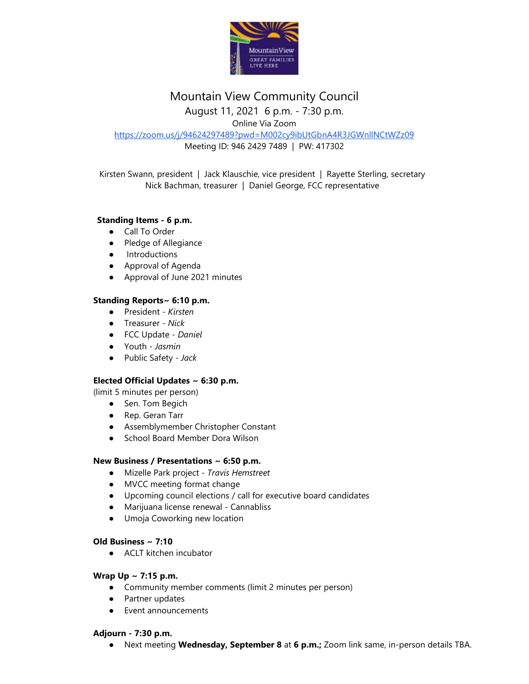

# Mountain View Community Council

August 11, 2021 6 p.m. - 7:30 p.m.

Online Via Zoom

<https://zoom.us/j/94624297489?pwd=M002cy9ibUtGbnA4R3JGWnllNCtWZz09> Meeting ID: 946 2429 7489 | PW: 417302

Kirsten Swann, president | Jack Klauschie, vice president | Rayette Sterling, secretary Nick Bachman, treasurer | Daniel George, FCC representative

## **Standing Items - 6 p.m.**

- Call To Order
- Pledge of Allegiance
- Introductions
- Approval of Agenda
- Approval of June 2021 minutes

### **Standing Reports~ 6:10 p.m.**

- President *Kirsten*
- Treasurer *Nick*
- FCC Update *Daniel*
- Youth *Jasmin*
- Public Safety *Jack*

## **Elected Official Updates ~ 6:30 p.m.**

(limit 5 minutes per person)

- Sen. Tom Begich
- Rep. Geran Tarr
- Assemblymember Christopher Constant
- School Board Member Dora Wilson

### **New Business / Presentations ~ 6:50 p.m.**

- Mizelle Park project *Travis Hemstreet*
- MVCC meeting format change
- Upcoming council elections / call for executive board candidates
- Marijuana license renewal Cannabliss
- Umoja Coworking new location

### **Old Business ~ 7:10**

● ACLT kitchen incubator

### **Wrap Up ~ 7:15 p.m.**

- Community member comments (limit 2 minutes per person)
- Partner updates
- Event announcements

### **Adjourn - 7:30 p.m.**

● Next meeting **Wednesday, September 8** at **6 p.m.;** Zoom link same, in-person details TBA.